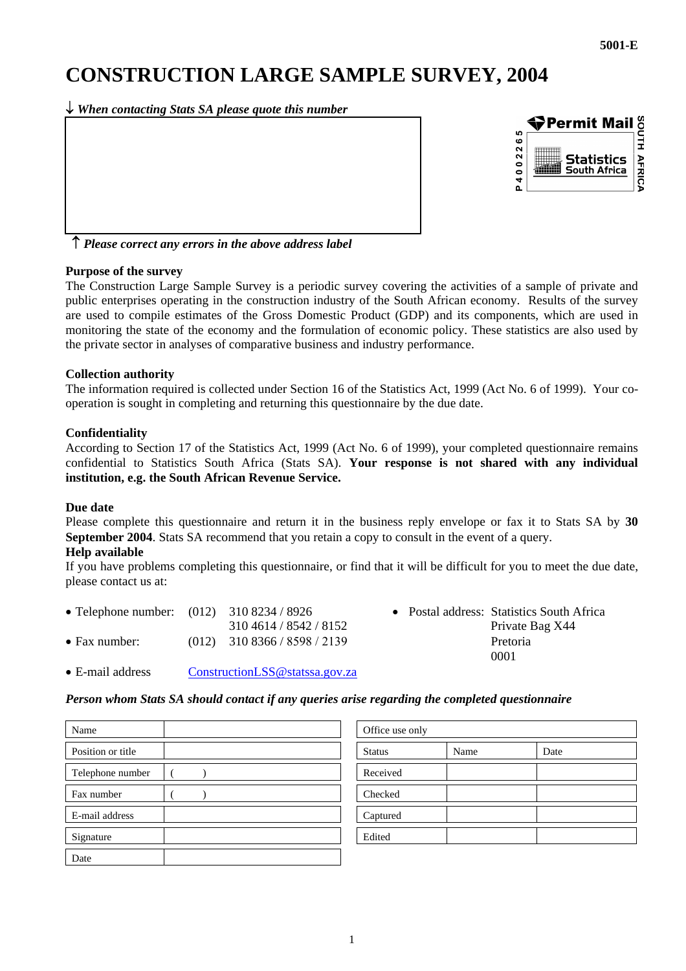# **CONSTRUCTION LARGE SAMPLE SURVEY, 2004**

↓ *When contacting Stats SA please quote this number*



↑ *Please correct any errors in the above address label*

#### **Purpose of the survey**

The Construction Large Sample Survey is a periodic survey covering the activities of a sample of private and public enterprises operating in the construction industry of the South African economy. Results of the survey are used to compile estimates of the Gross Domestic Product (GDP) and its components, which are used in monitoring the state of the economy and the formulation of economic policy. These statistics are also used by the private sector in analyses of comparative business and industry performance.

#### **Collection authority**

The information required is collected under Section 16 of the Statistics Act, 1999 (Act No. 6 of 1999). Your cooperation is sought in completing and returning this questionnaire by the due date.

#### **Confidentiality**

According to Section 17 of the Statistics Act, 1999 (Act No. 6 of 1999), your completed questionnaire remains confidential to Statistics South Africa (Stats SA). **Your response is not shared with any individual institution, e.g. the South African Revenue Service.** 

#### **Due date**

Please complete this questionnaire and return it in the business reply envelope or fax it to Stats SA by **30 September 2004**. Stats SA recommend that you retain a copy to consult in the event of a query.

#### **Help available**

If you have problems completing this questionnaire, or find that it will be difficult for you to meet the due date, please contact us at:

| 310 4614 / 8542 / 8152 |                                                                               | <b>Private I</b>             |
|------------------------|-------------------------------------------------------------------------------|------------------------------|
|                        |                                                                               | Pretoria                     |
|                        | • Telephone number: $(012)$ 310 8234 / 8926<br>$(012)$ 310 8366 / 8598 / 2139 | • Postal address: Statistics |

Postal address: Statistics South Africa Private Bag X44 0001

• E-mail address [ConstructionLSS@statssa.gov.za](mailto:ConstructionLSS@statssa.gov.za)

#### *Person whom Stats SA should contact if any queries arise regarding the completed questionnaire*

| Name              | Office use only |      |      |
|-------------------|-----------------|------|------|
| Position or title | <b>Status</b>   | Name | Date |
| Telephone number  | Received        |      |      |
| Fax number        | Checked         |      |      |
| E-mail address    | Captured        |      |      |
| Signature         | Edited          |      |      |
| Date              |                 |      |      |

| Office use only |      |      |
|-----------------|------|------|
| <b>Status</b>   | Name | Date |
| Received        |      |      |
| Checked         |      |      |
| Captured        |      |      |
| Edited          |      |      |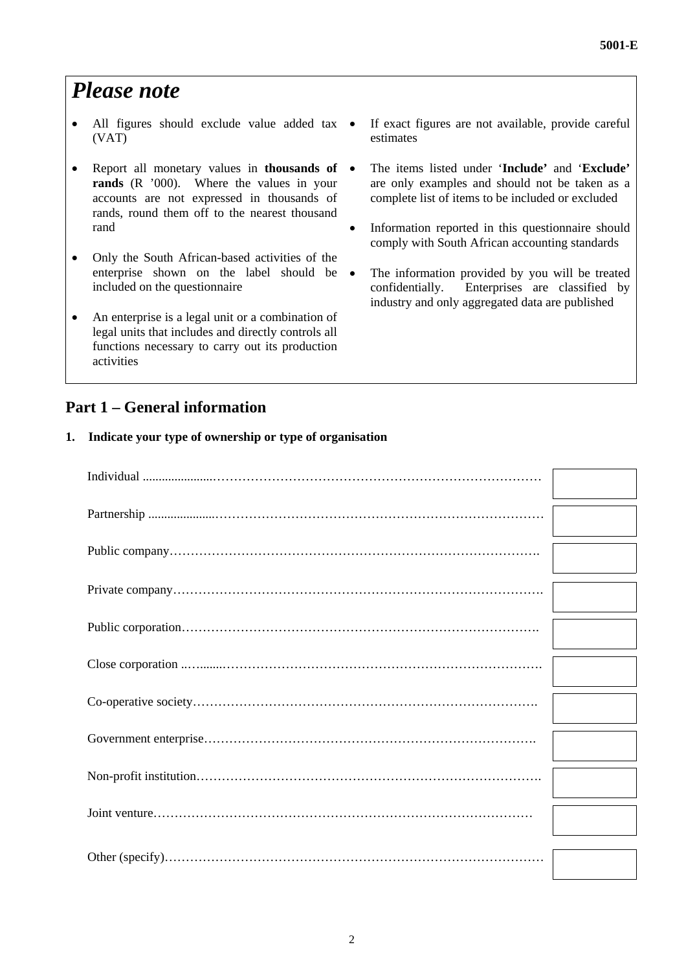# *Please note*

- All figures should exclude value added tax (VAT)
- Report all monetary values in **thousands of rands** (R '000). Where the values in your accounts are not expressed in thousands of rands, round them off to the nearest thousand rand
- Only the South African-based activities of the enterprise shown on the label should be included on the questionnaire
- An enterprise is a legal unit or a combination of legal units that includes and directly controls all functions necessary to carry out its production activities
- **Part 1 General information**
- If exact figures are not available, provide careful estimates
- The items listed under '**Include'** and '**Exclude'** are only examples and should not be taken as a complete list of items to be included or excluded
- Information reported in this questionnaire should comply with South African accounting standards
- The information provided by you will be treated confidentially. Enterprises are classified by industry and only aggregated data are published

#### **1. Indicate your type of ownership or type of organisation**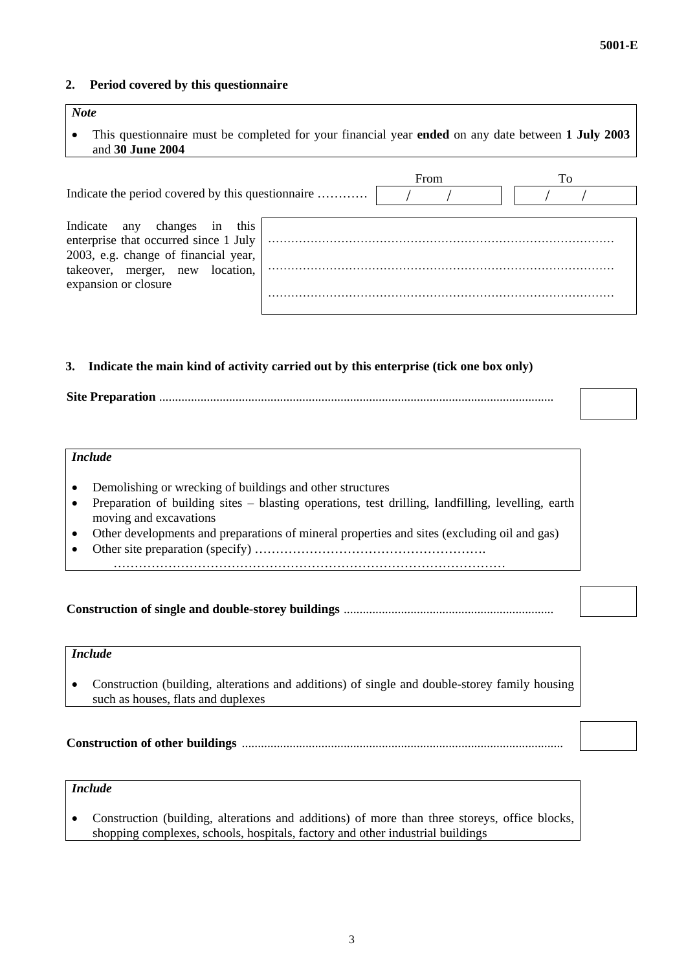#### **2. Period covered by this questionnaire**

| <b>Note</b><br>This questionnaire must be completed for your financial year <b>ended</b> on any date between 1 July 2003<br>and 30 June 2004 |      |    |
|----------------------------------------------------------------------------------------------------------------------------------------------|------|----|
| Indicate the period covered by this questionnaire                                                                                            | From | To |
| this<br>changes in<br>Indicate<br>any<br>enterprise that occurred since 1 July<br>2003, e.g. change of financial year,                       |      |    |
| takeover, merger, new location,<br>expansion or closure                                                                                      |      |    |

#### **3. Indicate the main kind of activity carried out by this enterprise (tick one box only)**

|--|--|

#### *Include*

- Demolishing or wrecking of buildings and other structures
- Preparation of building sites blasting operations, test drilling, landfilling, levelling, earth moving and excavations
- Other developments and preparations of mineral properties and sites (excluding oil and gas)
- Other site preparation (specify) ……………………………………………….
- …………………………………………………………………………………

**Construction of single and double-storey buildings** ..................................................................

# *Include*

• Construction (building, alterations and additions) of single and double-storey family housing such as houses, flats and duplexes

**Construction of other buildings** .....................................................................................................

# *Include*

• Construction (building, alterations and additions) of more than three storeys, office blocks, shopping complexes, schools, hospitals, factory and other industrial buildings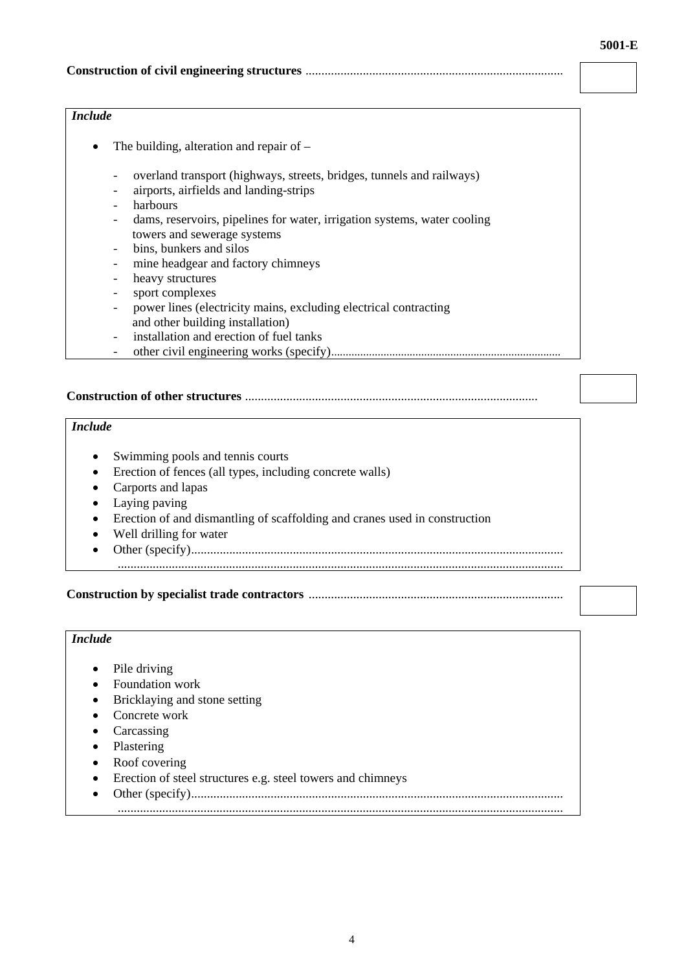#### **Construction of civil engineering structures** .................................................................................

#### *Include*

- The building, alteration and repair of
	- overland transport (highways, streets, bridges, tunnels and railways)
	- airports, airfields and landing-strips
	- harbours
	- dams, reservoirs, pipelines for water, irrigation systems, water cooling towers and sewerage systems
	- bins, bunkers and silos
	- mine headgear and factory chimneys
	- heavy structures
	- sport complexes
	- power lines (electricity mains, excluding electrical contracting and other building installation)
	- installation and erection of fuel tanks
	- other civil engineering works (specify)...............................................................................

#### **Construction of other structures** ............................................................................................

# *Include*

- Swimming pools and tennis courts
- Erection of fences (all types, including concrete walls)
- Carports and lapas
- Laying paving
- Erection of and dismantling of scaffolding and cranes used in construction
- Well drilling for water
- Other (specify).....................................................................................................................
- ............................................................................................................................................

#### **Construction by specialist trade contractors** ................................................................................

#### *Include*

- Pile driving
- Foundation work
- Bricklaying and stone setting
- Concrete work
- Carcassing
- Plastering
- Roof covering
- Erection of steel structures e.g. steel towers and chimneys
- Other (specify).....................................................................................................................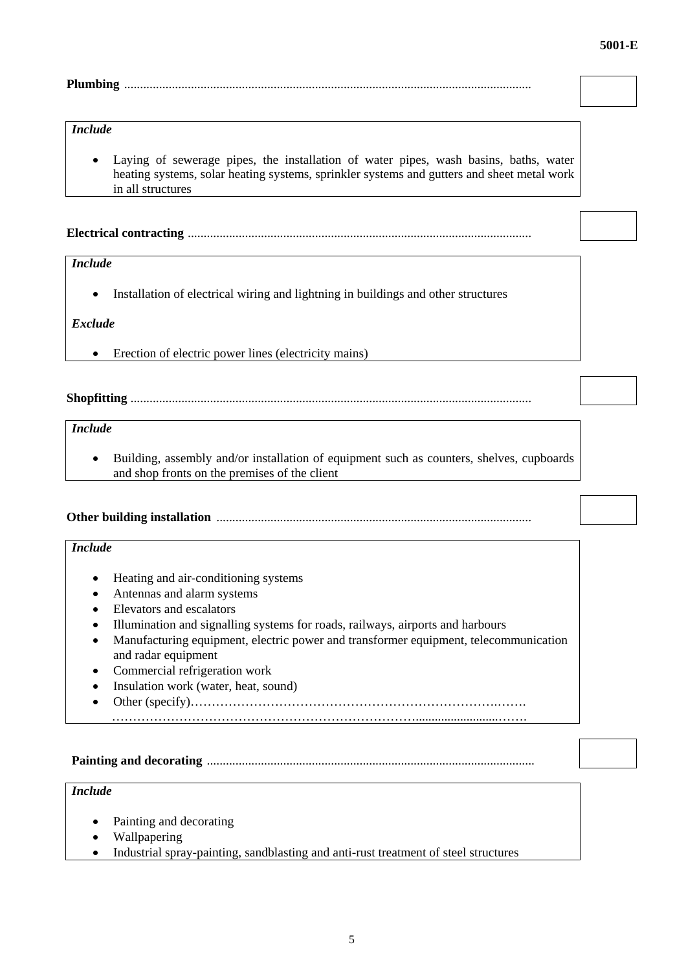## **Plumbing** ................................................................................................................................

#### *Include*

• Laying of sewerage pipes, the installation of water pipes, wash basins, baths, water heating systems, solar heating systems, sprinkler systems and gutters and sheet metal work in all structures

**Electrical contracting** ............................................................................................................

# *Include*

• Installation of electrical wiring and lightning in buildings and other structures

#### *Exclude*

• Erection of electric power lines (electricity mains)

**Shopfitting** ..............................................................................................................................

# *Include*

• Building, assembly and/or installation of equipment such as counters, shelves, cupboards and shop fronts on the premises of the client

**Other building installation** ...................................................................................................

#### *Include*

- Heating and air-conditioning systems
- Antennas and alarm systems
- Elevators and escalators
- Illumination and signalling systems for roads, railways, airports and harbours
- Manufacturing equipment, electric power and transformer equipment, telecommunication and radar equipment
- Commercial refrigeration work
- Insulation work (water, heat, sound)
- Other (specify)……………………………………………………………….…….

**Painting and decorating** .......................................................................................................

………………………………………………………………..........................…….

## *Include*

- Painting and decorating
- Wallpapering
- Industrial spray-painting, sandblasting and anti-rust treatment of steel structures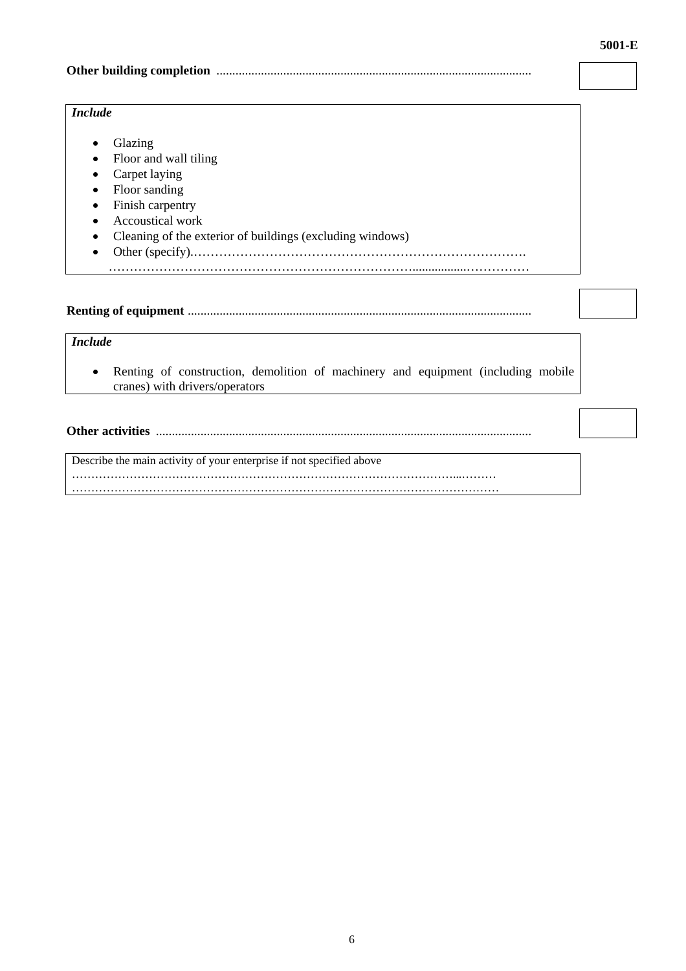#### **Other building completion** ...................................................................................................

#### *Include*

- Glazing
- Floor and wall tiling
- Carpet laying
- Floor sanding
- Finish carpentry
- Accoustical work
- Cleaning of the exterior of buildings (excluding windows)
- Other (specify).…………………………………………………………………….

# **Renting of equipment** ............................................................................................................

……………………………………………………………….................……………

# *Include*

• Renting of construction, demolition of machinery and equipment (including mobile cranes) with drivers/operators

**Other activities** ......................................................................................................................

Describe the main activity of your enterprise if not specified above

………………………………………………………………………………………...……… …………………………………………………………………………………………………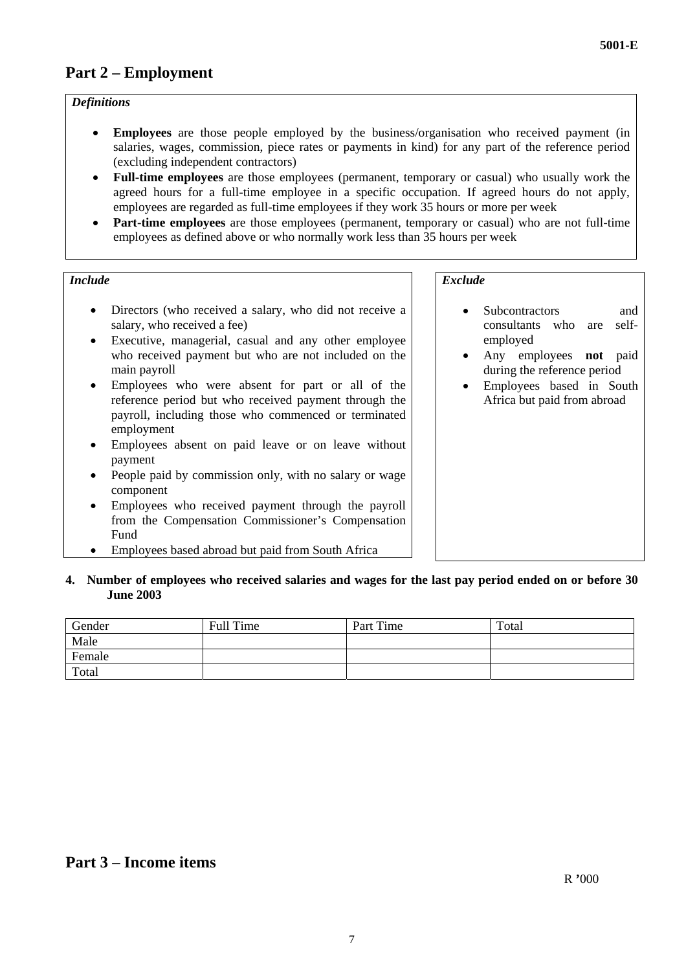# **Part 2 – Employment**

#### *Definitions*

- **Employees** are those people employed by the business/organisation who received payment (in salaries, wages, commission, piece rates or payments in kind) for any part of the reference period (excluding independent contractors)
- **Full-time employees** are those employees (permanent, temporary or casual) who usually work the agreed hours for a full-time employee in a specific occupation. If agreed hours do not apply, employees are regarded as full-time employees if they work 35 hours or more per week
- **Part-time employees** are those employees (permanent, temporary or casual) who are not full-time employees as defined above or who normally work less than 35 hours per week

#### *Include* Exclude **Exclude Exclude Exclude**

- Directors (who received a salary, who did not receive a salary, who received a fee)
- Executive, managerial, casual and any other employee who received payment but who are not included on the main payroll
- Employees who were absent for part or all of the reference period but who received payment through the payroll, including those who commenced or terminated employment
- Employees absent on paid leave or on leave without payment
- People paid by commission only, with no salary or wage component
- Employees who received payment through the payroll from the Compensation Commissioner's Compensation Fund
- Employees based abroad but paid from South Africa

- Subcontractors and consultants who are selfemployed
- Any employees **not** paid during the reference period
- Employees based in South Africa but paid from abroad

#### **4. Number of employees who received salaries and wages for the last pay period ended on or before 30 June 2003**

| Gender | Full Time | Part Time | Total |
|--------|-----------|-----------|-------|
| Male   |           |           |       |
| Female |           |           |       |
| Total  |           |           |       |

# **Part 3 – Income items**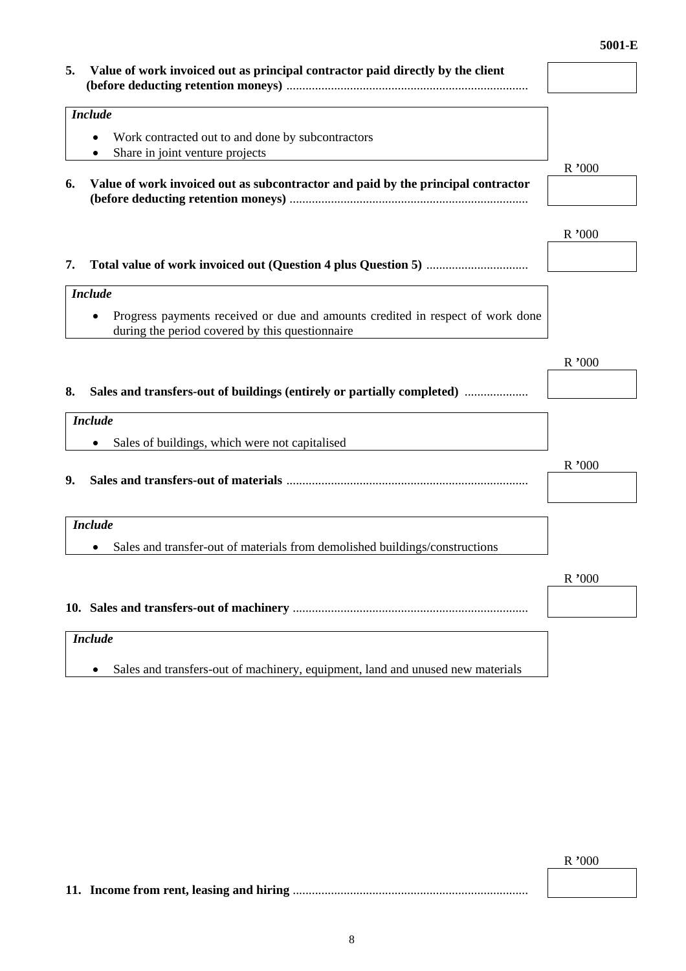| Value of work invoiced out as principal contractor paid directly by the client<br>5.                                                           |        |
|------------------------------------------------------------------------------------------------------------------------------------------------|--------|
|                                                                                                                                                |        |
| <b>Include</b>                                                                                                                                 |        |
|                                                                                                                                                |        |
| Work contracted out to and done by subcontractors<br>Share in joint venture projects                                                           |        |
|                                                                                                                                                | R'000  |
| Value of work invoiced out as subcontractor and paid by the principal contractor<br>6.                                                         |        |
|                                                                                                                                                | R'000  |
| 7.                                                                                                                                             |        |
| <b>Include</b>                                                                                                                                 |        |
| Progress payments received or due and amounts credited in respect of work done<br>$\bullet$<br>during the period covered by this questionnaire |        |
|                                                                                                                                                | R'000  |
|                                                                                                                                                |        |
| Sales and transfers-out of buildings (entirely or partially completed)<br>8.                                                                   |        |
| <b>Include</b>                                                                                                                                 |        |
| Sales of buildings, which were not capitalised                                                                                                 |        |
|                                                                                                                                                | R'000  |
| 9.                                                                                                                                             |        |
| <b>Include</b>                                                                                                                                 |        |
| Sales and transfer-out of materials from demolished buildings/constructions                                                                    |        |
|                                                                                                                                                | R '000 |
|                                                                                                                                                |        |
|                                                                                                                                                |        |
| <b>Include</b>                                                                                                                                 |        |
| Sales and transfers-out of machinery, equipment, land and unused new materials<br>$\bullet$                                                    |        |

**11. Income from rent, leasing and hiring** ..........................................................................

8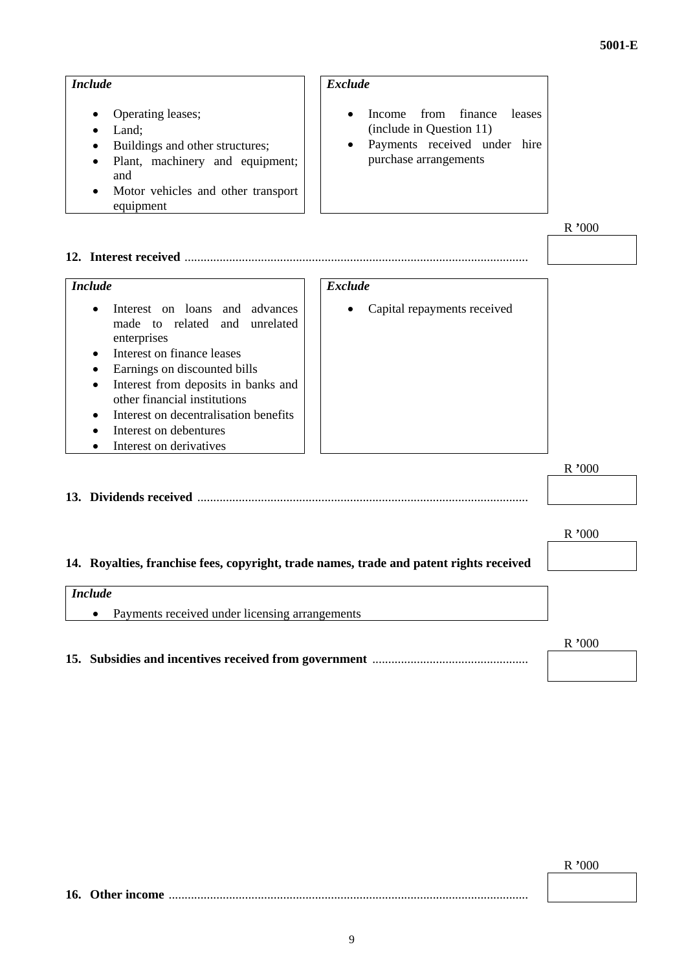| <b>Include</b>                                                                                                                                                                                                                                                                                                                                              | <b>Exclude</b>                                                                                                           |       |
|-------------------------------------------------------------------------------------------------------------------------------------------------------------------------------------------------------------------------------------------------------------------------------------------------------------------------------------------------------------|--------------------------------------------------------------------------------------------------------------------------|-------|
| Operating leases;<br>Land;<br>Buildings and other structures;<br>Plant, machinery and equipment;<br>and<br>Motor vehicles and other transport<br>equipment                                                                                                                                                                                                  | finance<br>Income<br>from<br>leases<br>(include in Question 11)<br>Payments received under hire<br>purchase arrangements |       |
|                                                                                                                                                                                                                                                                                                                                                             |                                                                                                                          | R'000 |
|                                                                                                                                                                                                                                                                                                                                                             |                                                                                                                          |       |
| <b>Include</b>                                                                                                                                                                                                                                                                                                                                              | <b>Exclude</b>                                                                                                           |       |
| Interest on loans and advances<br>$\bullet$<br>made to related and<br>unrelated<br>enterprises<br>Interest on finance leases<br>$\bullet$<br>Earnings on discounted bills<br>$\bullet$<br>Interest from deposits in banks and<br>other financial institutions<br>Interest on decentralisation benefits<br>Interest on debentures<br>Interest on derivatives | Capital repayments received                                                                                              |       |
|                                                                                                                                                                                                                                                                                                                                                             |                                                                                                                          | R'000 |
|                                                                                                                                                                                                                                                                                                                                                             |                                                                                                                          |       |
|                                                                                                                                                                                                                                                                                                                                                             |                                                                                                                          | R'000 |
| 14. Royalties, franchise fees, copyright, trade names, trade and patent rights received                                                                                                                                                                                                                                                                     |                                                                                                                          |       |
|                                                                                                                                                                                                                                                                                                                                                             |                                                                                                                          |       |
| <b>Include</b><br>Payments received under licensing arrangements                                                                                                                                                                                                                                                                                            |                                                                                                                          |       |
|                                                                                                                                                                                                                                                                                                                                                             |                                                                                                                          | R'000 |
|                                                                                                                                                                                                                                                                                                                                                             |                                                                                                                          |       |

**16. Other income** .................................................................................................................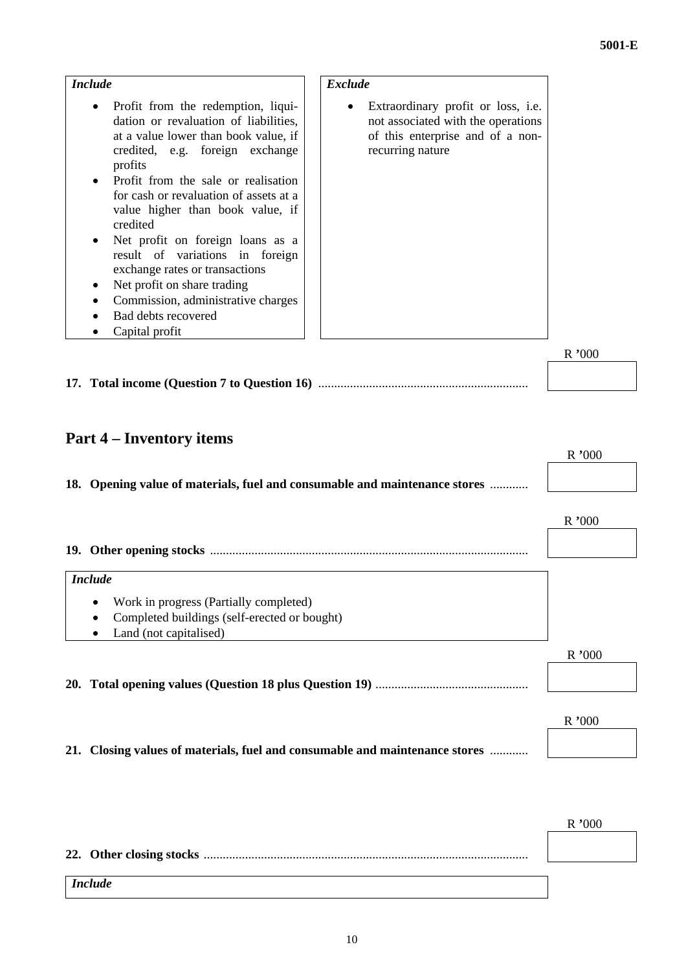| <b>Include</b>                                                                                                                                                                                                                                                                                                                                                                                                                                                                                                                         | <b>Exclude</b>                                                                                                                                |       |
|----------------------------------------------------------------------------------------------------------------------------------------------------------------------------------------------------------------------------------------------------------------------------------------------------------------------------------------------------------------------------------------------------------------------------------------------------------------------------------------------------------------------------------------|-----------------------------------------------------------------------------------------------------------------------------------------------|-------|
| Profit from the redemption, liqui-<br>$\bullet$<br>dation or revaluation of liabilities,<br>at a value lower than book value, if<br>credited, e.g. foreign exchange<br>profits<br>Profit from the sale or realisation<br>for cash or revaluation of assets at a<br>value higher than book value, if<br>credited<br>Net profit on foreign loans as a<br>result of variations in foreign<br>exchange rates or transactions<br>Net profit on share trading<br>Commission, administrative charges<br>Bad debts recovered<br>Capital profit | Extraordinary profit or loss, i.e.<br>$\bullet$<br>not associated with the operations<br>of this enterprise and of a non-<br>recurring nature |       |
|                                                                                                                                                                                                                                                                                                                                                                                                                                                                                                                                        |                                                                                                                                               | R'000 |
| <b>Part 4 – Inventory items</b>                                                                                                                                                                                                                                                                                                                                                                                                                                                                                                        |                                                                                                                                               | R'000 |
| 18. Opening value of materials, fuel and consumable and maintenance stores                                                                                                                                                                                                                                                                                                                                                                                                                                                             |                                                                                                                                               |       |
|                                                                                                                                                                                                                                                                                                                                                                                                                                                                                                                                        |                                                                                                                                               | R'000 |
|                                                                                                                                                                                                                                                                                                                                                                                                                                                                                                                                        |                                                                                                                                               |       |

| <i>Include</i>                                            |       |
|-----------------------------------------------------------|-------|
| Work in progress (Partially completed)<br>$\bullet$       |       |
| Completed buildings (self-erected or bought)<br>$\bullet$ |       |
| Land (not capitalised)                                    |       |
|                                                           | R'000 |
|                                                           |       |
|                                                           |       |
|                                                           | R'000 |

**21. Closing values of materials, fuel and consumable and maintenance stores** ............

| <i>Include</i> |  |
|----------------|--|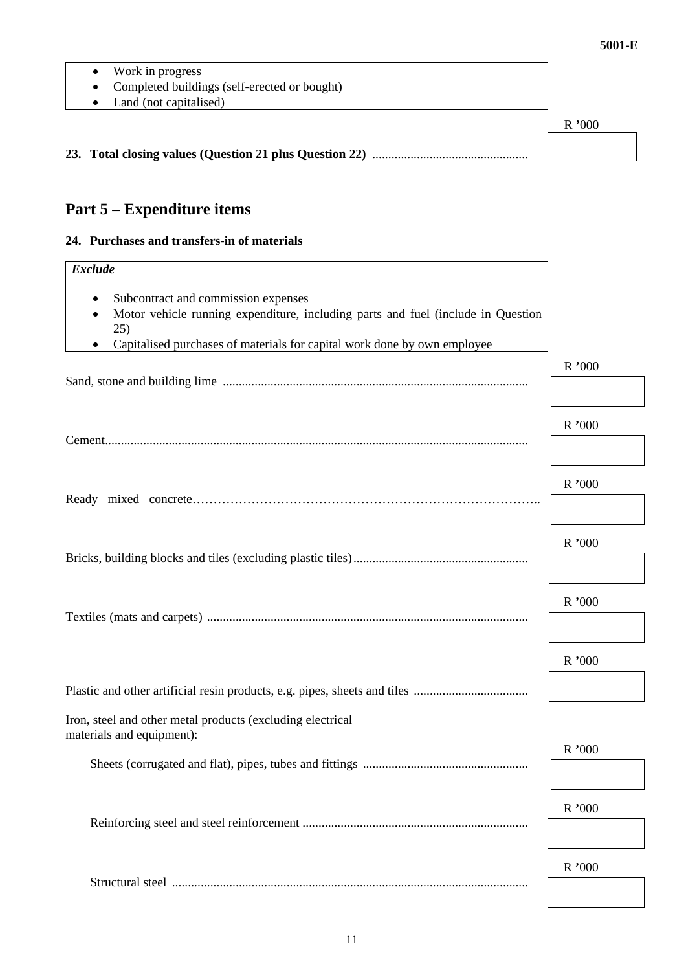- Work in progress
- Completed buildings (self-erected or bought)
- Land (not capitalised)

|  | R'000 |
|--|-------|
|  |       |
|  |       |

# **Part 5 – Expenditure items**

#### **24. Purchases and transfers-in of materials**

| <b>Exclude</b>                                                                                                                 |          |
|--------------------------------------------------------------------------------------------------------------------------------|----------|
| Subcontract and commission expenses<br>Motor vehicle running expenditure, including parts and fuel (include in Question<br>25) |          |
| Capitalised purchases of materials for capital work done by own employee                                                       |          |
|                                                                                                                                | $R$ ,000 |
|                                                                                                                                | R'000    |
|                                                                                                                                |          |
|                                                                                                                                | R '000   |
|                                                                                                                                | R'000    |
|                                                                                                                                |          |
|                                                                                                                                | R'000    |
|                                                                                                                                |          |
|                                                                                                                                | R'000    |
|                                                                                                                                |          |
| Iron, steel and other metal products (excluding electrical<br>materials and equipment):                                        |          |
|                                                                                                                                | R'000    |
|                                                                                                                                |          |
|                                                                                                                                | R '000   |
|                                                                                                                                |          |
|                                                                                                                                | R'000    |
|                                                                                                                                |          |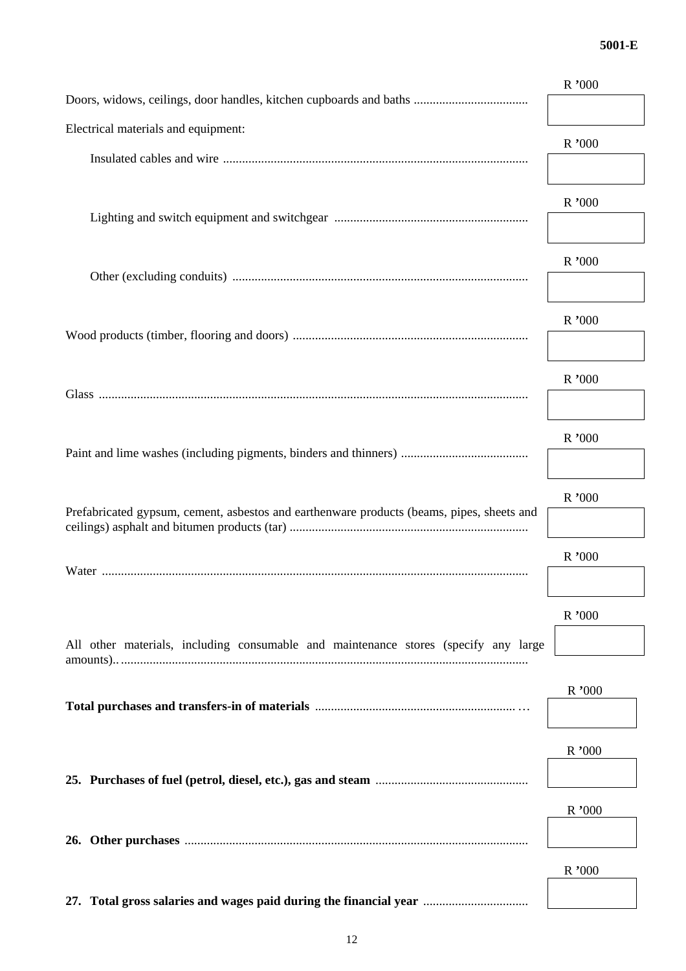|                                                                                           | R'000  |
|-------------------------------------------------------------------------------------------|--------|
|                                                                                           |        |
| Electrical materials and equipment:                                                       |        |
|                                                                                           | R'000  |
|                                                                                           |        |
|                                                                                           | R'000  |
|                                                                                           |        |
|                                                                                           |        |
|                                                                                           | R'000  |
|                                                                                           |        |
|                                                                                           | R'000  |
|                                                                                           |        |
|                                                                                           |        |
|                                                                                           | R'000  |
|                                                                                           |        |
|                                                                                           |        |
|                                                                                           | R'000  |
|                                                                                           |        |
|                                                                                           | R '000 |
| Prefabricated gypsum, cement, asbestos and earthenware products (beams, pipes, sheets and |        |
|                                                                                           |        |
|                                                                                           | R'000  |
|                                                                                           |        |
|                                                                                           | R'000  |
|                                                                                           |        |
| All other materials, including consumable and maintenance stores (specify any large       |        |
|                                                                                           |        |
|                                                                                           | R'000  |
|                                                                                           |        |
|                                                                                           | R'000  |
|                                                                                           |        |
|                                                                                           |        |
|                                                                                           | R'000  |
|                                                                                           |        |
|                                                                                           |        |
|                                                                                           | R'000  |
| 27. Total gross salaries and wages paid during the financial year                         |        |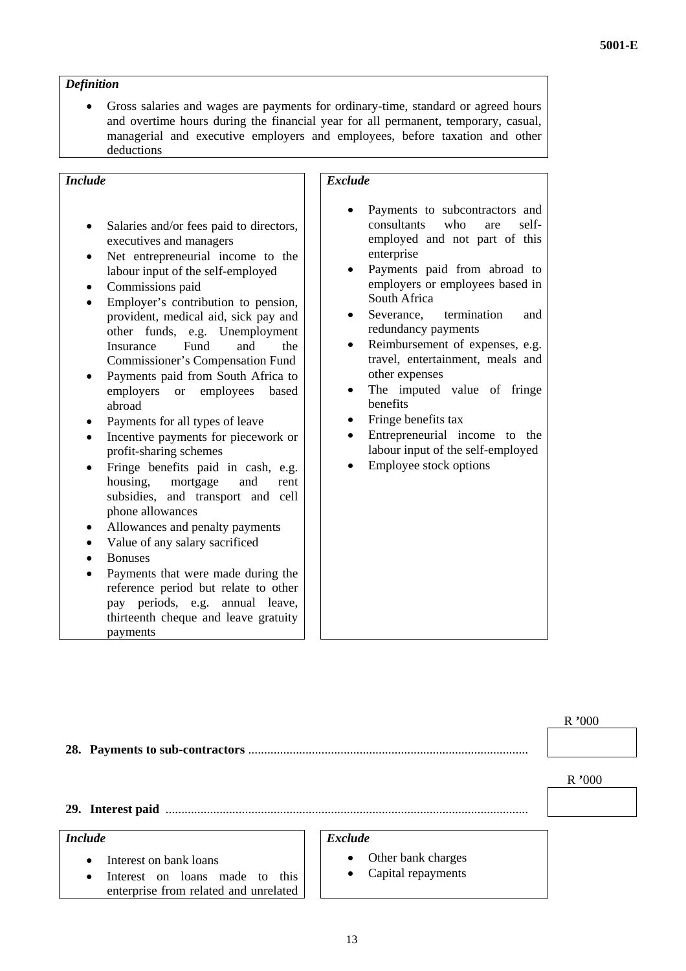#### *Definition*

• Gross salaries and wages are payments for ordinary-time, standard or agreed hours and overtime hours during the financial year for all permanent, temporary, casual, managerial and executive employers and employees, before taxation and other deductions

# *Include*

- Salaries and/or fees paid to directors, executives and managers
- Net entrepreneurial income to the labour input of the self-employed
- Commissions paid
- Employer's contribution to pension, provident, medical aid, sick pay and other funds, e.g. Unemployment Insurance Fund and the Commissioner's Compensation Fund
- Payments paid from South Africa to employers or employees based abroad
- Payments for all types of leave
- Incentive payments for piecework or profit-sharing schemes
- Fringe benefits paid in cash, e.g. housing, mortgage and rent subsidies, and transport and cell phone allowances
- Allowances and penalty payments
- Value of any salary sacrificed
- Bonuses
- Payments that were made during the reference period but relate to other pay periods, e.g. annual leave, thirteenth cheque and leave gratuity payments

## *Exclude*

- Payments to subcontractors and consultants who are selfemployed and not part of this enterprise
- Payments paid from abroad to employers or employees based in South Africa
- Severance, termination and redundancy payments
- Reimbursement of expenses, e.g. travel, entertainment, meals and other expenses
- The imputed value of fringe benefits
- Fringe benefits tax
- Entrepreneurial income to the labour input of the self-employed
- Employee stock options

| R'000 |
|-------|
|       |

**29. Interest paid** ..................................................................................................................

## *Include*

- Interest on bank loans
- Interest on loans made to this enterprise from related and unrelated

#### *Exclude*

- Other bank charges
- Capital repayments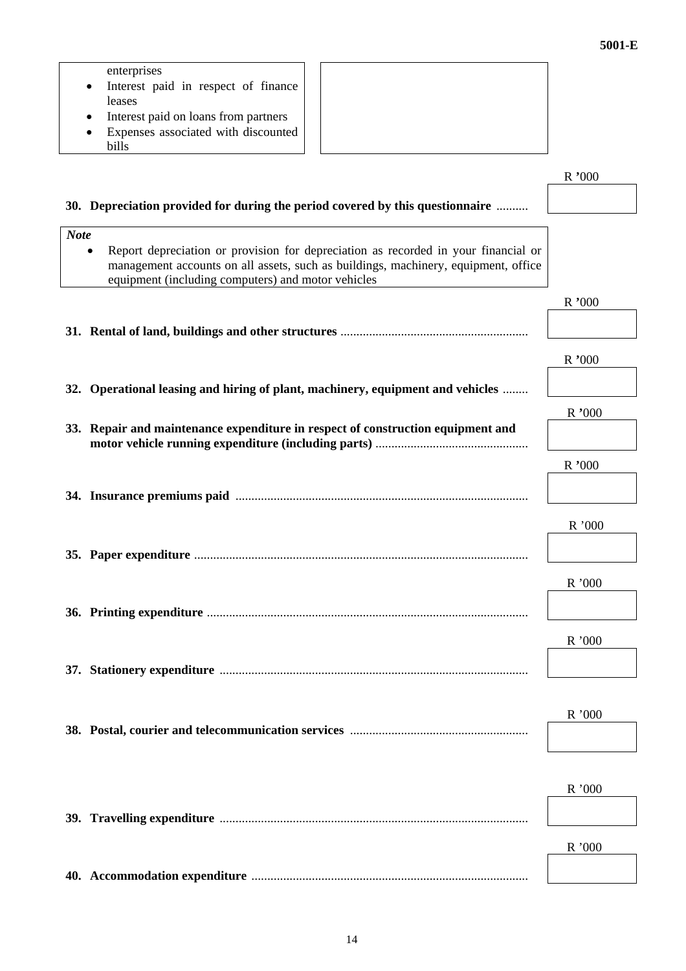#### enterprises

• Interest paid in respect of finance leases

• Interest paid on loans from partners

• Expenses associated with discounted bills

|                                                                                                                                                                                                                                | R '000 |
|--------------------------------------------------------------------------------------------------------------------------------------------------------------------------------------------------------------------------------|--------|
| 30. Depreciation provided for during the period covered by this questionnaire                                                                                                                                                  |        |
| <b>Note</b>                                                                                                                                                                                                                    |        |
| Report depreciation or provision for depreciation as recorded in your financial or<br>management accounts on all assets, such as buildings, machinery, equipment, office<br>equipment (including computers) and motor vehicles |        |
|                                                                                                                                                                                                                                | R'000  |
|                                                                                                                                                                                                                                |        |
|                                                                                                                                                                                                                                | R'000  |
| 32. Operational leasing and hiring of plant, machinery, equipment and vehicles                                                                                                                                                 |        |
|                                                                                                                                                                                                                                | R'000  |
| 33. Repair and maintenance expenditure in respect of construction equipment and                                                                                                                                                |        |
|                                                                                                                                                                                                                                | R'000  |
|                                                                                                                                                                                                                                |        |
|                                                                                                                                                                                                                                |        |
|                                                                                                                                                                                                                                | R'000  |
|                                                                                                                                                                                                                                |        |
|                                                                                                                                                                                                                                | R '000 |
|                                                                                                                                                                                                                                |        |
|                                                                                                                                                                                                                                | R'000  |
|                                                                                                                                                                                                                                |        |
|                                                                                                                                                                                                                                |        |
|                                                                                                                                                                                                                                | R'000  |
|                                                                                                                                                                                                                                |        |
|                                                                                                                                                                                                                                |        |
|                                                                                                                                                                                                                                | R'000  |
|                                                                                                                                                                                                                                |        |
|                                                                                                                                                                                                                                | R'000  |
|                                                                                                                                                                                                                                |        |

**40. Accommodation expenditure** .......................................................................................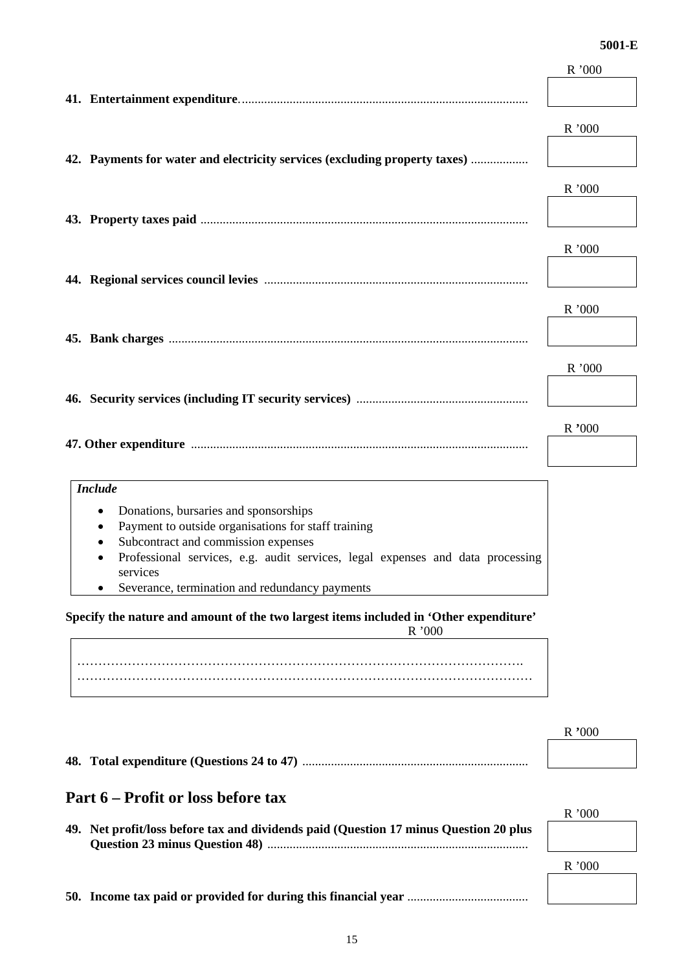|                                                                                                                       | R'000  |
|-----------------------------------------------------------------------------------------------------------------------|--------|
|                                                                                                                       |        |
|                                                                                                                       | R'000  |
| 42. Payments for water and electricity services (excluding property taxes)                                            |        |
|                                                                                                                       | R '000 |
|                                                                                                                       |        |
|                                                                                                                       | R'000  |
|                                                                                                                       |        |
|                                                                                                                       | R '000 |
|                                                                                                                       |        |
|                                                                                                                       | R'000  |
|                                                                                                                       |        |
|                                                                                                                       | R '000 |
|                                                                                                                       |        |
| <b>Include</b>                                                                                                        |        |
| Donations, bursaries and sponsorships                                                                                 |        |
| Payment to outside organisations for staff training                                                                   |        |
| Subcontract and commission expenses<br>Professional services, e.g. audit services, legal expenses and data processing |        |
| services                                                                                                              |        |
| Severance, termination and redundancy payments                                                                        |        |

**Specify the nature and amount of the two largest items included in 'Other expenditure'**  R '000

……………………………………………………………………………………………. ………………………………………………………………………………………………

**48. Total expenditure (Questions 24 to 47)** .......................................................................

15

# **Part 6 – Profit or loss before tax**

| 49. Net profit/loss before tax and dividends paid (Question 17 minus Question 20 plus |  |
|---------------------------------------------------------------------------------------|--|
|                                                                                       |  |

**50. Income tax paid or provided for during this financial year** ......................................

R '000

R **'**000

R '000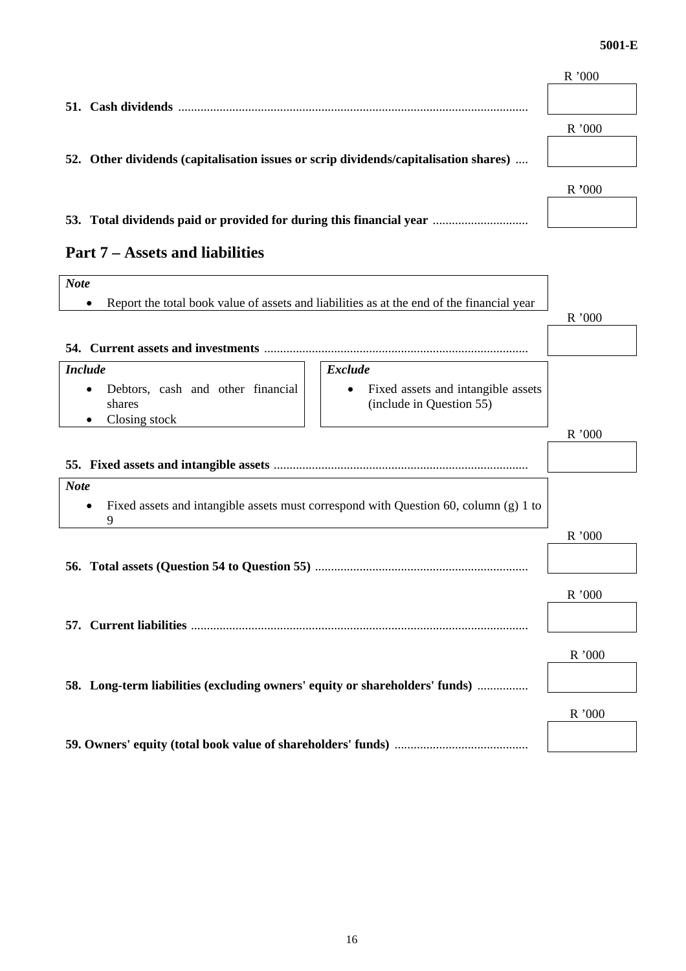|                                                                                      | R'000 |
|--------------------------------------------------------------------------------------|-------|
| 51. Cash dividends                                                                   |       |
|                                                                                      | R'000 |
| 52. Other dividends (capitalisation issues or scrip dividends/capitalisation shares) |       |
|                                                                                      | R'000 |
| 53. Total dividends paid or provided for during this financial year                  |       |

| 53. Total dividends paid or provided for during this financial year ……………………… |  |  |
|-------------------------------------------------------------------------------|--|--|
|                                                                               |  |  |

# **Part 7 – Assets and liabilities**

| <b>Note</b>                                                                                                                                      |       |
|--------------------------------------------------------------------------------------------------------------------------------------------------|-------|
| Report the total book value of assets and liabilities as at the end of the financial year                                                        |       |
|                                                                                                                                                  | R'000 |
|                                                                                                                                                  |       |
| <b>Exclude</b><br><b>Include</b>                                                                                                                 |       |
| Debtors, cash and other financial<br>Fixed assets and intangible assets<br>$\bullet$<br>(include in Question 55)<br>shares<br>Closing stock<br>٠ |       |
|                                                                                                                                                  | R'000 |
|                                                                                                                                                  |       |
| <b>Note</b>                                                                                                                                      |       |
| Fixed assets and intangible assets must correspond with Question $60$ , column (g) 1 to<br>9                                                     |       |
|                                                                                                                                                  | R'000 |
|                                                                                                                                                  |       |
|                                                                                                                                                  | R'000 |
|                                                                                                                                                  |       |
|                                                                                                                                                  | R'000 |
| 58. Long-term liabilities (excluding owners' equity or shareholders' funds)                                                                      |       |
|                                                                                                                                                  | R'000 |
|                                                                                                                                                  |       |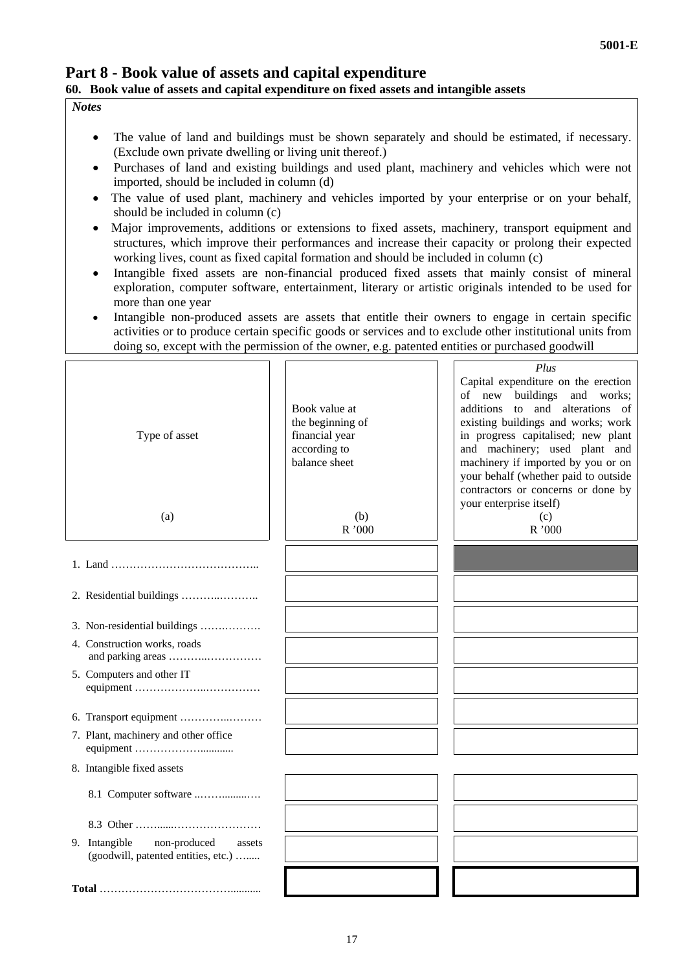┑

*Plus* 

# **Part 8 - Book value of assets and capital expenditure 60. Book value of assets and capital expenditure on fixed assets and intangible assets**

 $\sqrt{2}$ 

┑

#### *Notes*

 $\Gamma$ 

- The value of land and buildings must be shown separately and should be estimated, if necessary. (Exclude own private dwelling or living unit thereof.)
- Purchases of land and existing buildings and used plant, machinery and vehicles which were not imported, should be included in column (d)
- The value of used plant, machinery and vehicles imported by your enterprise or on your behalf, should be included in column (c)
- Major improvements, additions or extensions to fixed assets, machinery, transport equipment and structures, which improve their performances and increase their capacity or prolong their expected working lives, count as fixed capital formation and should be included in column (c)
- Intangible fixed assets are non-financial produced fixed assets that mainly consist of mineral exploration, computer software, entertainment, literary or artistic originals intended to be used for more than one year
- Intangible non-produced assets are assets that entitle their owners to engage in certain specific activities or to produce certain specific goods or services and to exclude other institutional units from doing so, except with the permission of the owner, e.g. patented entities or purchased goodwill

┑  $\mathsf{L}$ 

| Type of asset<br>(a)                                                           | Book value at<br>the beginning of<br>financial year<br>according to<br>balance sheet<br>(b)<br>R'000 | Capital expenditure on the erection<br>of new buildings and works;<br>additions to and alterations of<br>existing buildings and works; work<br>in progress capitalised; new plant<br>and machinery; used plant and<br>machinery if imported by you or on<br>your behalf (whether paid to outside<br>contractors or concerns or done by<br>your enterprise itself)<br>(c)<br>R'000 |
|--------------------------------------------------------------------------------|------------------------------------------------------------------------------------------------------|-----------------------------------------------------------------------------------------------------------------------------------------------------------------------------------------------------------------------------------------------------------------------------------------------------------------------------------------------------------------------------------|
|                                                                                |                                                                                                      |                                                                                                                                                                                                                                                                                                                                                                                   |
|                                                                                |                                                                                                      |                                                                                                                                                                                                                                                                                                                                                                                   |
| 3. Non-residential buildings                                                   |                                                                                                      |                                                                                                                                                                                                                                                                                                                                                                                   |
| 4. Construction works, roads                                                   |                                                                                                      |                                                                                                                                                                                                                                                                                                                                                                                   |
| 5. Computers and other IT                                                      |                                                                                                      |                                                                                                                                                                                                                                                                                                                                                                                   |
|                                                                                |                                                                                                      |                                                                                                                                                                                                                                                                                                                                                                                   |
| 7. Plant, machinery and other office                                           |                                                                                                      |                                                                                                                                                                                                                                                                                                                                                                                   |
| 8. Intangible fixed assets                                                     |                                                                                                      |                                                                                                                                                                                                                                                                                                                                                                                   |
| 8.1 Computer software                                                          |                                                                                                      |                                                                                                                                                                                                                                                                                                                                                                                   |
|                                                                                |                                                                                                      |                                                                                                                                                                                                                                                                                                                                                                                   |
| 9. Intangible<br>non-produced<br>assets<br>(goodwill, patented entities, etc.) |                                                                                                      |                                                                                                                                                                                                                                                                                                                                                                                   |
|                                                                                |                                                                                                      |                                                                                                                                                                                                                                                                                                                                                                                   |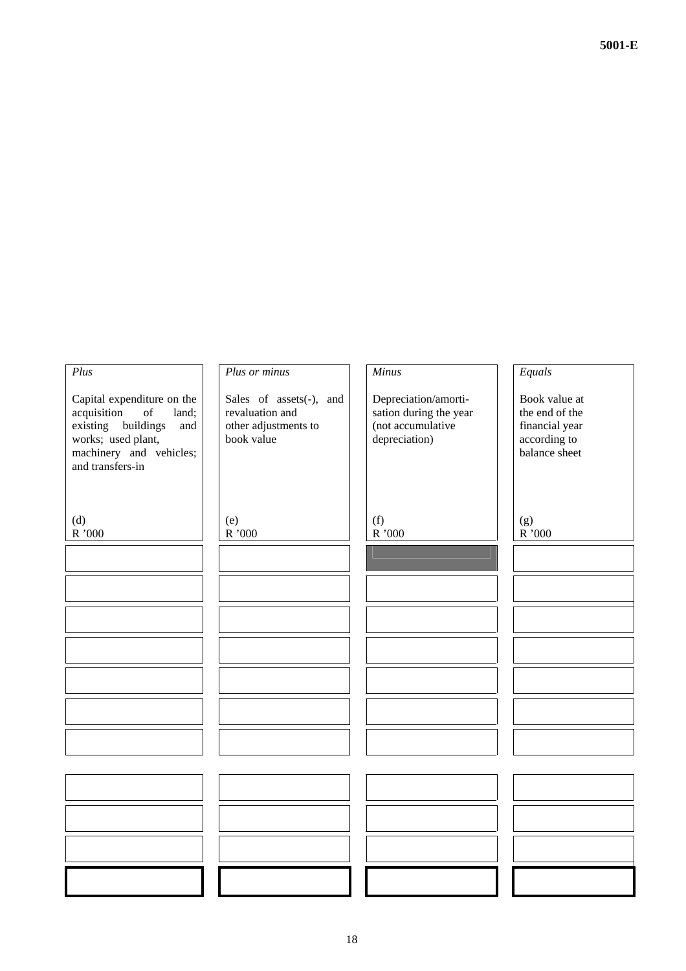| Plus                                                                                                                                                                                                                                                          | Plus or minus                                                                    | Minus                                                                                | Equals                                                                             |
|---------------------------------------------------------------------------------------------------------------------------------------------------------------------------------------------------------------------------------------------------------------|----------------------------------------------------------------------------------|--------------------------------------------------------------------------------------|------------------------------------------------------------------------------------|
| Capital expenditure on the<br>acquisition<br>$% \left( \left( \mathcal{A},\mathcal{A}\right) \right) =\left( \mathcal{A},\mathcal{A}\right)$ of<br>land;<br>existing<br>buildings<br>and<br>works; used plant,<br>machinery and vehicles;<br>and transfers-in | Sales of assets(-), and<br>revaluation and<br>other adjustments to<br>book value | Depreciation/amorti-<br>sation during the year<br>(not accumulative<br>depreciation) | Book value at<br>the end of the<br>financial year<br>according to<br>balance sheet |
| (d)<br>$\rm R$ '000                                                                                                                                                                                                                                           | (e)<br>$\rm R$ '000                                                              | (f)<br>$\mathrm{R}$ '000                                                             | (g)<br>${\bf R}$ '000                                                              |
|                                                                                                                                                                                                                                                               |                                                                                  |                                                                                      |                                                                                    |
|                                                                                                                                                                                                                                                               |                                                                                  |                                                                                      |                                                                                    |
|                                                                                                                                                                                                                                                               |                                                                                  |                                                                                      |                                                                                    |
|                                                                                                                                                                                                                                                               |                                                                                  |                                                                                      |                                                                                    |
|                                                                                                                                                                                                                                                               |                                                                                  |                                                                                      |                                                                                    |
|                                                                                                                                                                                                                                                               |                                                                                  |                                                                                      |                                                                                    |
|                                                                                                                                                                                                                                                               |                                                                                  |                                                                                      |                                                                                    |
|                                                                                                                                                                                                                                                               |                                                                                  |                                                                                      |                                                                                    |
|                                                                                                                                                                                                                                                               |                                                                                  |                                                                                      |                                                                                    |
|                                                                                                                                                                                                                                                               |                                                                                  |                                                                                      |                                                                                    |
|                                                                                                                                                                                                                                                               |                                                                                  |                                                                                      |                                                                                    |
|                                                                                                                                                                                                                                                               |                                                                                  |                                                                                      |                                                                                    |

**5001-E**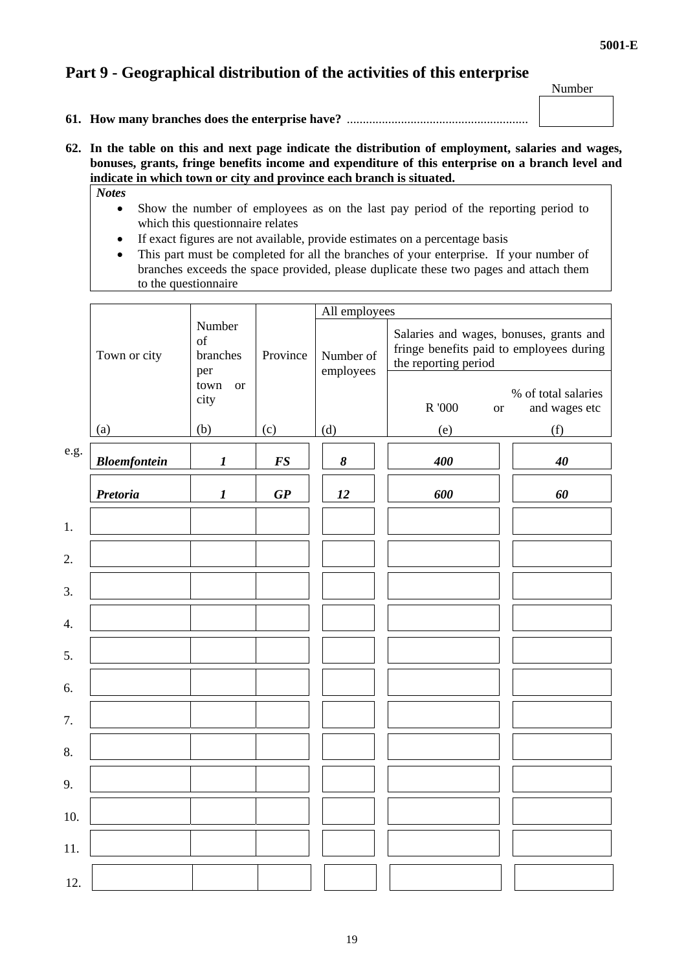# **Part 9 - Geographical distribution of the activities of this enterprise**

Number

- **61. How many branches does the enterprise have?** .........................................................
- **62. In the table on this and next page indicate the distribution of employment, salaries and wages, bonuses, grants, fringe benefits income and expenditure of this enterprise on a branch level and indicate in which town or city and province each branch is situated.** 
	- *Notes* 
		- Show the number of employees as on the last pay period of the reporting period to which this questionnaire relates
		- If exact figures are not available, provide estimates on a percentage basis
		- This part must be completed for all the branches of your enterprise. If your number of branches exceeds the space provided, please duplicate these two pages and attach them to the questionnaire

|      | Town or city        | Number<br>of<br>branches<br>per | Province | All employees          |                                                                                                             |                                      |
|------|---------------------|---------------------------------|----------|------------------------|-------------------------------------------------------------------------------------------------------------|--------------------------------------|
|      |                     |                                 |          | Number of<br>employees | Salaries and wages, bonuses, grants and<br>fringe benefits paid to employees during<br>the reporting period |                                      |
|      |                     | town<br><b>or</b><br>city       |          |                        | R '000<br><b>or</b>                                                                                         | % of total salaries<br>and wages etc |
|      | (a)                 | (b)                             | (c)      | (d)                    | (e)                                                                                                         | (f)                                  |
| e.g. | <b>Bloemfontein</b> | $\boldsymbol{l}$                | FS       | $\pmb{8}$              | 400                                                                                                         | 40                                   |
|      | <b>Pretoria</b>     | $\boldsymbol{l}$                | GP       | 12                     | 600                                                                                                         | 60                                   |
| 1.   |                     |                                 |          |                        |                                                                                                             |                                      |
| 2.   |                     |                                 |          |                        |                                                                                                             |                                      |
| 3.   |                     |                                 |          |                        |                                                                                                             |                                      |
| 4.   |                     |                                 |          |                        |                                                                                                             |                                      |
| 5.   |                     |                                 |          |                        |                                                                                                             |                                      |
| 6.   |                     |                                 |          |                        |                                                                                                             |                                      |
| 7.   |                     |                                 |          |                        |                                                                                                             |                                      |
| 8.   |                     |                                 |          |                        |                                                                                                             |                                      |
| 9.   |                     |                                 |          |                        |                                                                                                             |                                      |
| 10.  |                     |                                 |          |                        |                                                                                                             |                                      |
| 11.  |                     |                                 |          |                        |                                                                                                             |                                      |
| 12.  |                     |                                 |          |                        |                                                                                                             |                                      |